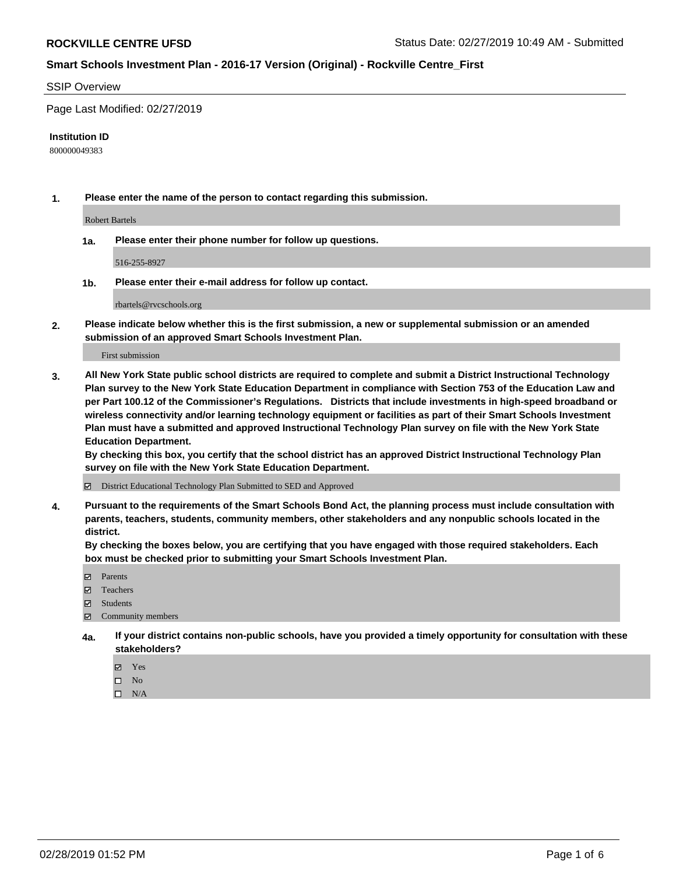#### SSIP Overview

Page Last Modified: 02/27/2019

#### **Institution ID**

800000049383

**1. Please enter the name of the person to contact regarding this submission.**

Robert Bartels

**1a. Please enter their phone number for follow up questions.**

516-255-8927

**1b. Please enter their e-mail address for follow up contact.**

rbartels@rvcschools.org

**2. Please indicate below whether this is the first submission, a new or supplemental submission or an amended submission of an approved Smart Schools Investment Plan.**

First submission

**3. All New York State public school districts are required to complete and submit a District Instructional Technology Plan survey to the New York State Education Department in compliance with Section 753 of the Education Law and per Part 100.12 of the Commissioner's Regulations. Districts that include investments in high-speed broadband or wireless connectivity and/or learning technology equipment or facilities as part of their Smart Schools Investment Plan must have a submitted and approved Instructional Technology Plan survey on file with the New York State Education Department.** 

**By checking this box, you certify that the school district has an approved District Instructional Technology Plan survey on file with the New York State Education Department.**

District Educational Technology Plan Submitted to SED and Approved

**4. Pursuant to the requirements of the Smart Schools Bond Act, the planning process must include consultation with parents, teachers, students, community members, other stakeholders and any nonpublic schools located in the district.** 

**By checking the boxes below, you are certifying that you have engaged with those required stakeholders. Each box must be checked prior to submitting your Smart Schools Investment Plan.**

- **□** Parents
- Teachers
- Students
- $\boxtimes$  Community members
- **4a. If your district contains non-public schools, have you provided a timely opportunity for consultation with these stakeholders?**
	- Yes
	- $\qquad \qquad$  No
	- $\square$  N/A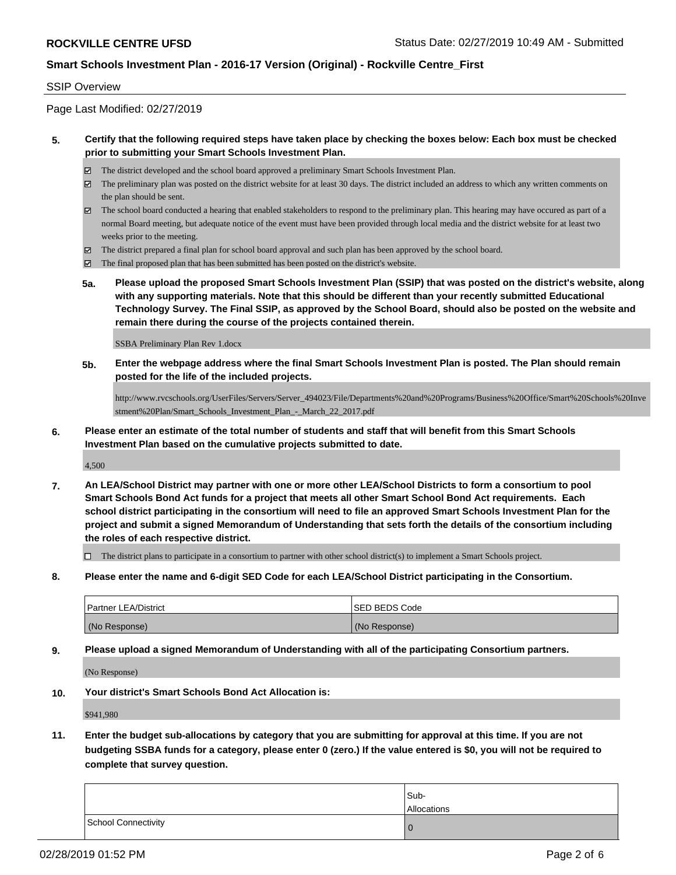#### SSIP Overview

Page Last Modified: 02/27/2019

### **5. Certify that the following required steps have taken place by checking the boxes below: Each box must be checked prior to submitting your Smart Schools Investment Plan.**

- The district developed and the school board approved a preliminary Smart Schools Investment Plan.
- $\boxtimes$  The preliminary plan was posted on the district website for at least 30 days. The district included an address to which any written comments on the plan should be sent.
- $\boxtimes$  The school board conducted a hearing that enabled stakeholders to respond to the preliminary plan. This hearing may have occured as part of a normal Board meeting, but adequate notice of the event must have been provided through local media and the district website for at least two weeks prior to the meeting.
- The district prepared a final plan for school board approval and such plan has been approved by the school board.
- $\boxtimes$  The final proposed plan that has been submitted has been posted on the district's website.
- **5a. Please upload the proposed Smart Schools Investment Plan (SSIP) that was posted on the district's website, along with any supporting materials. Note that this should be different than your recently submitted Educational Technology Survey. The Final SSIP, as approved by the School Board, should also be posted on the website and remain there during the course of the projects contained therein.**

SSBA Preliminary Plan Rev 1.docx

**5b. Enter the webpage address where the final Smart Schools Investment Plan is posted. The Plan should remain posted for the life of the included projects.**

http://www.rvcschools.org/UserFiles/Servers/Server\_494023/File/Departments%20and%20Programs/Business%20Office/Smart%20Schools%20Inve stment%20Plan/Smart\_Schools\_Investment\_Plan\_-\_March\_22\_2017.pdf

**6. Please enter an estimate of the total number of students and staff that will benefit from this Smart Schools Investment Plan based on the cumulative projects submitted to date.**

4,500

**7. An LEA/School District may partner with one or more other LEA/School Districts to form a consortium to pool Smart Schools Bond Act funds for a project that meets all other Smart School Bond Act requirements. Each school district participating in the consortium will need to file an approved Smart Schools Investment Plan for the project and submit a signed Memorandum of Understanding that sets forth the details of the consortium including the roles of each respective district.**

 $\Box$  The district plans to participate in a consortium to partner with other school district(s) to implement a Smart Schools project.

**8. Please enter the name and 6-digit SED Code for each LEA/School District participating in the Consortium.**

| Partner LEA/District | ISED BEDS Code |
|----------------------|----------------|
| (No Response)        | (No Response)  |

**9. Please upload a signed Memorandum of Understanding with all of the participating Consortium partners.**

(No Response)

**10. Your district's Smart Schools Bond Act Allocation is:**

\$941,980

**11. Enter the budget sub-allocations by category that you are submitting for approval at this time. If you are not budgeting SSBA funds for a category, please enter 0 (zero.) If the value entered is \$0, you will not be required to complete that survey question.**

|                     | Sub-<br>Allocations |
|---------------------|---------------------|
| School Connectivity | U                   |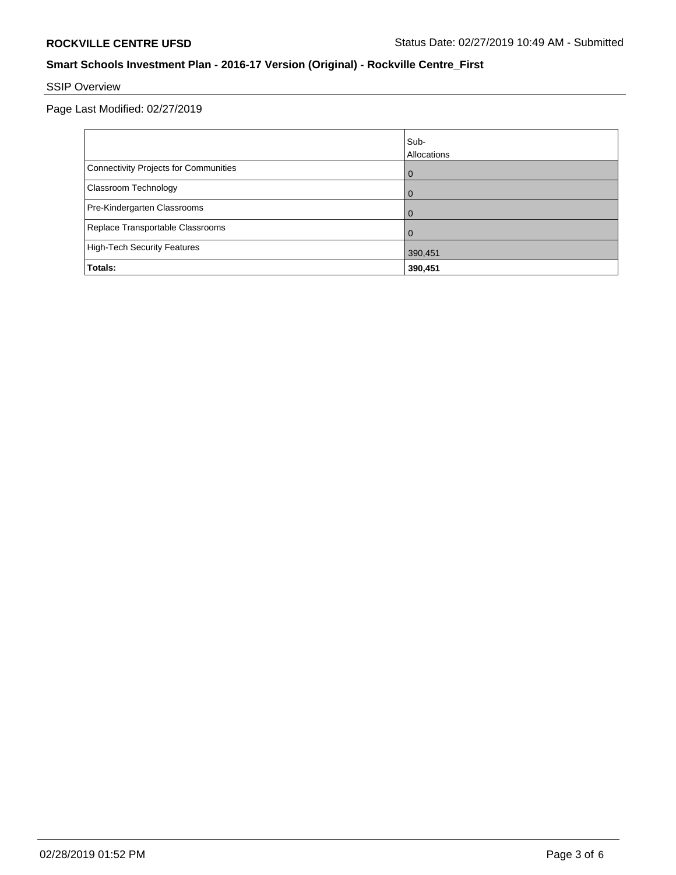# SSIP Overview

Page Last Modified: 02/27/2019

|                                       | lSub-<br>Allocations |
|---------------------------------------|----------------------|
| Connectivity Projects for Communities | $\overline{0}$       |
| <b>Classroom Technology</b>           | $\Omega$             |
| Pre-Kindergarten Classrooms           | $\overline{0}$       |
| Replace Transportable Classrooms      | $\Omega$             |
| High-Tech Security Features           | 390,451              |
| Totals:                               | 390,451              |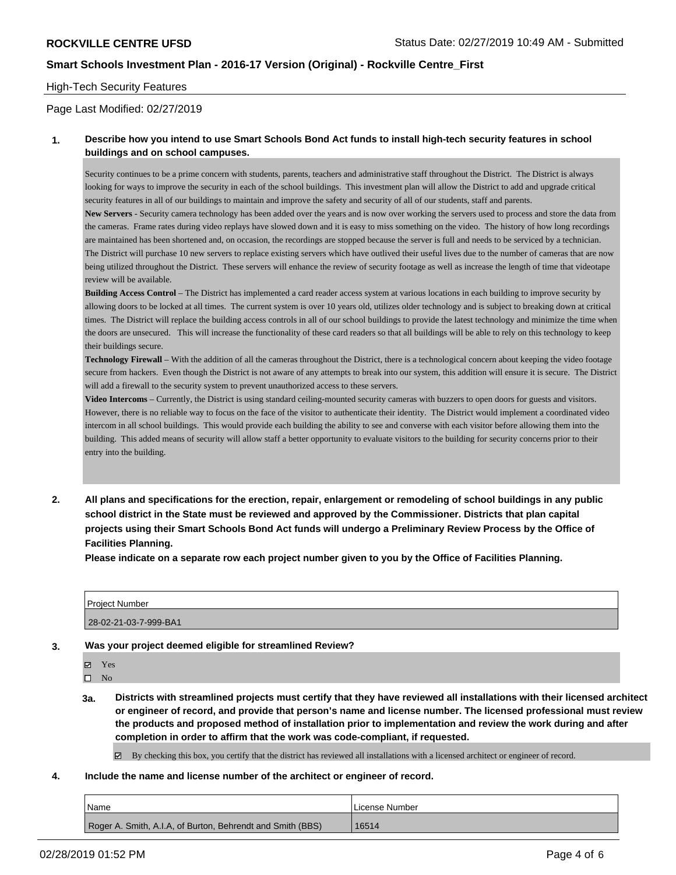### High-Tech Security Features

Page Last Modified: 02/27/2019

### **1. Describe how you intend to use Smart Schools Bond Act funds to install high-tech security features in school buildings and on school campuses.**

Security continues to be a prime concern with students, parents, teachers and administrative staff throughout the District. The District is always looking for ways to improve the security in each of the school buildings. This investment plan will allow the District to add and upgrade critical security features in all of our buildings to maintain and improve the safety and security of all of our students, staff and parents.

**New Servers** - Security camera technology has been added over the years and is now over working the servers used to process and store the data from the cameras. Frame rates during video replays have slowed down and it is easy to miss something on the video. The history of how long recordings are maintained has been shortened and, on occasion, the recordings are stopped because the server is full and needs to be serviced by a technician. The District will purchase 10 new servers to replace existing servers which have outlived their useful lives due to the number of cameras that are now being utilized throughout the District. These servers will enhance the review of security footage as well as increase the length of time that videotape review will be available.

**Building Access Control** – The District has implemented a card reader access system at various locations in each building to improve security by allowing doors to be locked at all times. The current system is over 10 years old, utilizes older technology and is subject to breaking down at critical times. The District will replace the building access controls in all of our school buildings to provide the latest technology and minimize the time when the doors are unsecured. This will increase the functionality of these card readers so that all buildings will be able to rely on this technology to keep their buildings secure.

**Technology Firewall** – With the addition of all the cameras throughout the District, there is a technological concern about keeping the video footage secure from hackers. Even though the District is not aware of any attempts to break into our system, this addition will ensure it is secure. The District will add a firewall to the security system to prevent unauthorized access to these servers.

**Video Intercoms** – Currently, the District is using standard ceiling-mounted security cameras with buzzers to open doors for guests and visitors. However, there is no reliable way to focus on the face of the visitor to authenticate their identity. The District would implement a coordinated video intercom in all school buildings. This would provide each building the ability to see and converse with each visitor before allowing them into the building. This added means of security will allow staff a better opportunity to evaluate visitors to the building for security concerns prior to their entry into the building.

**2. All plans and specifications for the erection, repair, enlargement or remodeling of school buildings in any public school district in the State must be reviewed and approved by the Commissioner. Districts that plan capital projects using their Smart Schools Bond Act funds will undergo a Preliminary Review Process by the Office of Facilities Planning.** 

**Please indicate on a separate row each project number given to you by the Office of Facilities Planning.**

| <b>Project Number</b> |  |
|-----------------------|--|
| 28-02-21-03-7-999-BA1 |  |

**3. Was your project deemed eligible for streamlined Review?**

Yes

 $\square$  No

**3a. Districts with streamlined projects must certify that they have reviewed all installations with their licensed architect or engineer of record, and provide that person's name and license number. The licensed professional must review the products and proposed method of installation prior to implementation and review the work during and after completion in order to affirm that the work was code-compliant, if requested.**

 $\boxtimes$  By checking this box, you certify that the district has reviewed all installations with a licensed architect or engineer of record.

**4. Include the name and license number of the architect or engineer of record.**

| Name                                                       | License Number |
|------------------------------------------------------------|----------------|
| Roger A. Smith, A.I.A. of Burton, Behrendt and Smith (BBS) | 16514          |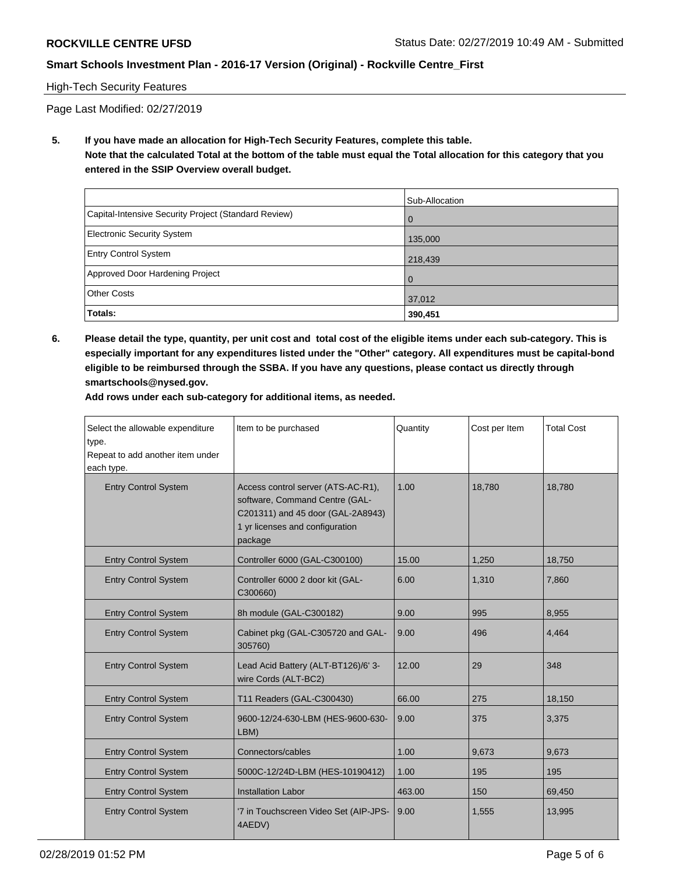### High-Tech Security Features

Page Last Modified: 02/27/2019

**5. If you have made an allocation for High-Tech Security Features, complete this table. Note that the calculated Total at the bottom of the table must equal the Total allocation for this category that you entered in the SSIP Overview overall budget.**

|                                                      | Sub-Allocation |
|------------------------------------------------------|----------------|
| Capital-Intensive Security Project (Standard Review) | $\Omega$       |
| <b>Electronic Security System</b>                    | 135,000        |
| <b>Entry Control System</b>                          | 218,439        |
| Approved Door Hardening Project                      | $\Omega$       |
| <b>Other Costs</b>                                   | 37,012         |
| Totals:                                              | 390,451        |

**6. Please detail the type, quantity, per unit cost and total cost of the eligible items under each sub-category. This is especially important for any expenditures listed under the "Other" category. All expenditures must be capital-bond eligible to be reimbursed through the SSBA. If you have any questions, please contact us directly through smartschools@nysed.gov.**

**Add rows under each sub-category for additional items, as needed.**

| Select the allowable expenditure<br>type.<br>Repeat to add another item under<br>each type. | Item to be purchased                                                                                                                                    | Quantity | Cost per Item | <b>Total Cost</b> |
|---------------------------------------------------------------------------------------------|---------------------------------------------------------------------------------------------------------------------------------------------------------|----------|---------------|-------------------|
| <b>Entry Control System</b>                                                                 | Access control server (ATS-AC-R1),<br>software, Command Centre (GAL-<br>C201311) and 45 door (GAL-2A8943)<br>1 yr licenses and configuration<br>package | 1.00     | 18,780        | 18,780            |
| <b>Entry Control System</b>                                                                 | Controller 6000 (GAL-C300100)                                                                                                                           | 15.00    | 1,250         | 18,750            |
| <b>Entry Control System</b>                                                                 | Controller 6000 2 door kit (GAL-<br>C300660)                                                                                                            | 6.00     | 1,310         | 7,860             |
| <b>Entry Control System</b>                                                                 | 8h module (GAL-C300182)                                                                                                                                 | 9.00     | 995           | 8,955             |
| <b>Entry Control System</b>                                                                 | Cabinet pkg (GAL-C305720 and GAL-<br>305760)                                                                                                            | 9.00     | 496           | 4,464             |
| <b>Entry Control System</b>                                                                 | Lead Acid Battery (ALT-BT126)/6' 3-<br>wire Cords (ALT-BC2)                                                                                             | 12.00    | 29            | 348               |
| <b>Entry Control System</b>                                                                 | T11 Readers (GAL-C300430)                                                                                                                               | 66.00    | 275           | 18,150            |
| <b>Entry Control System</b>                                                                 | 9600-12/24-630-LBM (HES-9600-630-<br>LBM)                                                                                                               | 9.00     | 375           | 3,375             |
| <b>Entry Control System</b>                                                                 | Connectors/cables                                                                                                                                       | 1.00     | 9,673         | 9,673             |
| <b>Entry Control System</b>                                                                 | 5000C-12/24D-LBM (HES-10190412)                                                                                                                         | 1.00     | 195           | 195               |
| <b>Entry Control System</b>                                                                 | <b>Installation Labor</b>                                                                                                                               | 463.00   | 150           | 69,450            |
| <b>Entry Control System</b>                                                                 | '7 in Touchscreen Video Set (AIP-JPS-<br>4AEDV)                                                                                                         | 9.00     | 1,555         | 13,995            |